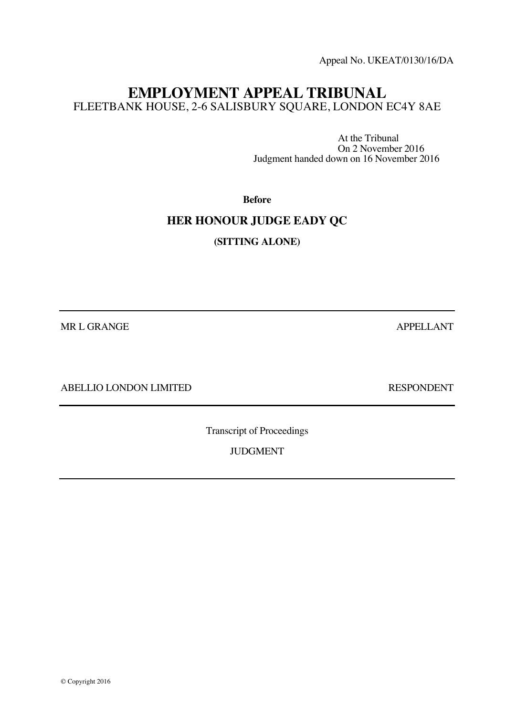Appeal No. UKEAT/0130/16/DA

# **EMPLOYMENT APPEAL TRIBUNAL** FLEETBANK HOUSE, 2-6 SALISBURY SQUARE, LONDON EC4Y 8AE

At the Tribunal On 2 November 2016 Judgment handed down on 16 November 2016

**Before**

# **HER HONOUR JUDGE EADY QC**

**(SITTING ALONE)**

MR L GRANGE APPELLANT

ABELLIO LONDON LIMITED RESPONDENT

Transcript of Proceedings

JUDGMENT

© Copyright 2016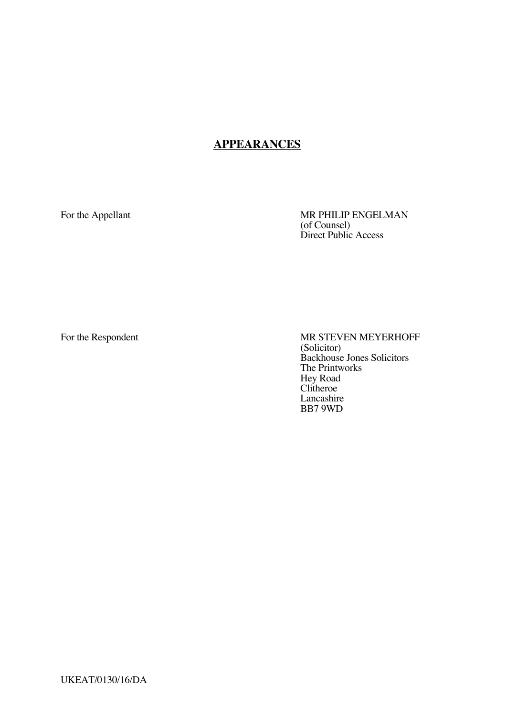# **APPEARANCES**

For the Appellant MR PHILIP ENGELMAN (of Counsel) Direct Public Access

For the Respondent MR STEVEN MEYERHOFF (Solicitor) Backhouse Jones Solicitors The Printworks Hey Road Clitheroe Lancashire BB7 9WD

UKEAT/0130/16/DA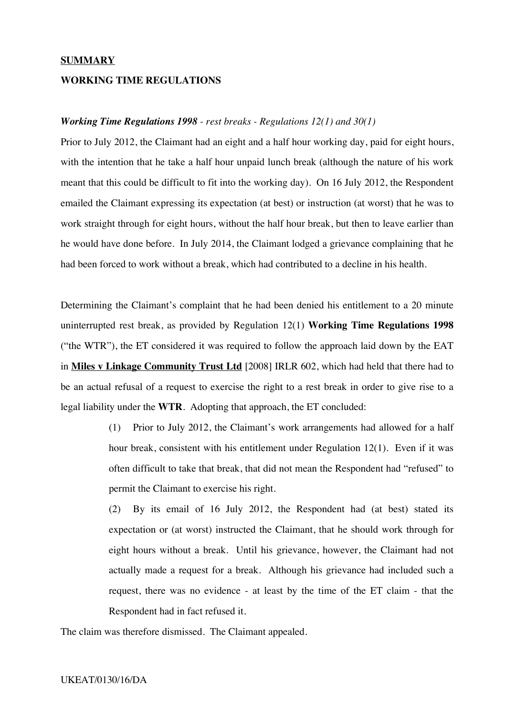#### **SUMMARY**

### **WORKING TIME REGULATIONS**

#### *Working Time Regulations 1998 - rest breaks - Regulations 12(1) and 30(1)*

Prior to July 2012, the Claimant had an eight and a half hour working day, paid for eight hours, with the intention that he take a half hour unpaid lunch break (although the nature of his work meant that this could be difficult to fit into the working day). On 16 July 2012, the Respondent emailed the Claimant expressing its expectation (at best) or instruction (at worst) that he was to work straight through for eight hours, without the half hour break, but then to leave earlier than he would have done before. In July 2014, the Claimant lodged a grievance complaining that he had been forced to work without a break, which had contributed to a decline in his health.

Determining the Claimant's complaint that he had been denied his entitlement to a 20 minute uninterrupted rest break, as provided by Regulation 12(1) **Working Time Regulations 1998** ("the WTR"), the ET considered it was required to follow the approach laid down by the EAT in **Miles v Linkage Community Trust Ltd** [2008] IRLR 602, which had held that there had to be an actual refusal of a request to exercise the right to a rest break in order to give rise to a legal liability under the **WTR**. Adopting that approach, the ET concluded:

> (1) Prior to July 2012, the Claimant's work arrangements had allowed for a half hour break, consistent with his entitlement under Regulation 12(1). Even if it was often difficult to take that break, that did not mean the Respondent had "refused" to permit the Claimant to exercise his right.

> (2) By its email of 16 July 2012, the Respondent had (at best) stated its expectation or (at worst) instructed the Claimant, that he should work through for eight hours without a break. Until his grievance, however, the Claimant had not actually made a request for a break. Although his grievance had included such a request, there was no evidence - at least by the time of the ET claim - that the Respondent had in fact refused it.

The claim was therefore dismissed. The Claimant appealed.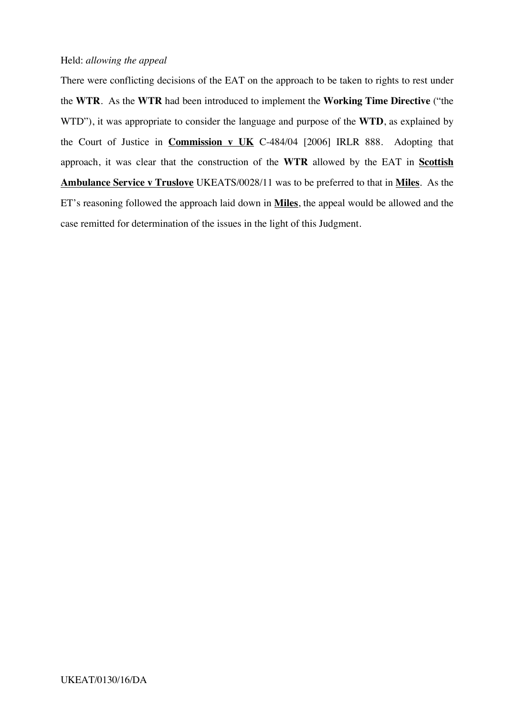## Held: *allowing the appeal*

There were conflicting decisions of the EAT on the approach to be taken to rights to rest under the **WTR**. As the **WTR** had been introduced to implement the **Working Time Directive** ("the WTD"), it was appropriate to consider the language and purpose of the **WTD**, as explained by the Court of Justice in **Commission v UK** C-484/04 [2006] IRLR 888. Adopting that approach, it was clear that the construction of the **WTR** allowed by the EAT in **Scottish Ambulance Service v Truslove** UKEATS/0028/11 was to be preferred to that in **Miles**. As the ET's reasoning followed the approach laid down in **Miles**, the appeal would be allowed and the case remitted for determination of the issues in the light of this Judgment.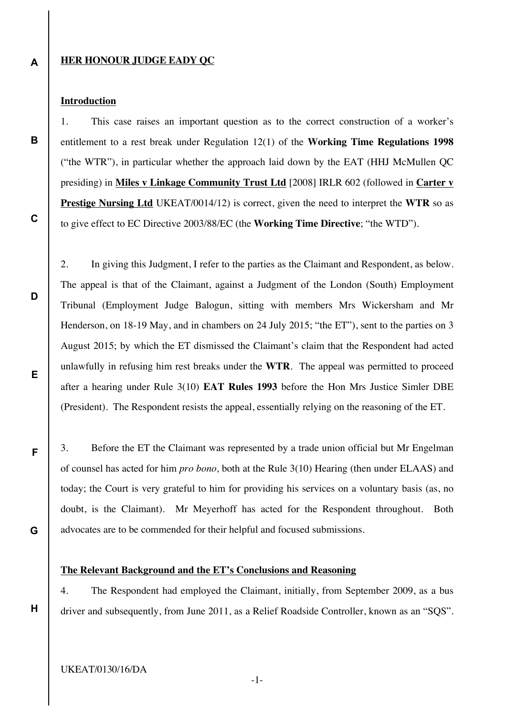**A**

**B**

**C**

**D**

**E**

**F**

**G**

**H**

## **HER HONOUR JUDGE EADY QC**

## **Introduction**

1. This case raises an important question as to the correct construction of a worker's entitlement to a rest break under Regulation 12(1) of the **Working Time Regulations 1998** ("the WTR"), in particular whether the approach laid down by the EAT (HHJ McMullen QC presiding) in **Miles v Linkage Community Trust Ltd** [2008] IRLR 602 (followed in **Carter v Prestige Nursing Ltd** UKEAT/0014/12) is correct, given the need to interpret the **WTR** so as to give effect to EC Directive 2003/88/EC (the **Working Time Directive**; "the WTD").

2. In giving this Judgment, I refer to the parties as the Claimant and Respondent, as below. The appeal is that of the Claimant, against a Judgment of the London (South) Employment Tribunal (Employment Judge Balogun, sitting with members Mrs Wickersham and Mr Henderson, on 18-19 May, and in chambers on 24 July 2015; "the ET"), sent to the parties on 3 August 2015; by which the ET dismissed the Claimant's claim that the Respondent had acted unlawfully in refusing him rest breaks under the **WTR**. The appeal was permitted to proceed after a hearing under Rule 3(10) **EAT Rules 1993** before the Hon Mrs Justice Simler DBE (President). The Respondent resists the appeal, essentially relying on the reasoning of the ET.

3. Before the ET the Claimant was represented by a trade union official but Mr Engelman of counsel has acted for him *pro bono,* both at the Rule 3(10) Hearing (then under ELAAS) and today; the Court is very grateful to him for providing his services on a voluntary basis (as, no doubt, is the Claimant). Mr Meyerhoff has acted for the Respondent throughout. Both advocates are to be commended for their helpful and focused submissions.

#### **The Relevant Background and the ET's Conclusions and Reasoning**

4. The Respondent had employed the Claimant, initially, from September 2009, as a bus driver and subsequently, from June 2011, as a Relief Roadside Controller, known as an "SQS".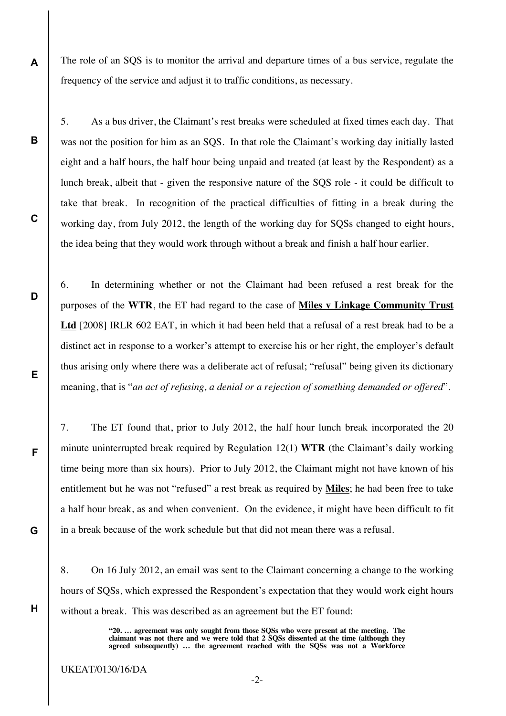The role of an SQS is to monitor the arrival and departure times of a bus service, regulate the frequency of the service and adjust it to traffic conditions, as necessary.

5. As a bus driver, the Claimant's rest breaks were scheduled at fixed times each day. That was not the position for him as an SQS. In that role the Claimant's working day initially lasted eight and a half hours, the half hour being unpaid and treated (at least by the Respondent) as a lunch break, albeit that - given the responsive nature of the SQS role - it could be difficult to take that break. In recognition of the practical difficulties of fitting in a break during the working day, from July 2012, the length of the working day for SQSs changed to eight hours, the idea being that they would work through without a break and finish a half hour earlier.

6. In determining whether or not the Claimant had been refused a rest break for the purposes of the **WTR**, the ET had regard to the case of **Miles v Linkage Community Trust Ltd** [2008] IRLR 602 EAT, in which it had been held that a refusal of a rest break had to be a distinct act in response to a worker's attempt to exercise his or her right, the employer's default thus arising only where there was a deliberate act of refusal; "refusal" being given its dictionary meaning, that is "*an act of refusing, a denial or a rejection of something demanded or offered*".

7. The ET found that, prior to July 2012, the half hour lunch break incorporated the 20 minute uninterrupted break required by Regulation 12(1) **WTR** (the Claimant's daily working time being more than six hours). Prior to July 2012, the Claimant might not have known of his entitlement but he was not "refused" a rest break as required by **Miles**; he had been free to take a half hour break, as and when convenient. On the evidence, it might have been difficult to fit in a break because of the work schedule but that did not mean there was a refusal.

8. On 16 July 2012, an email was sent to the Claimant concerning a change to the working hours of SQSs, which expressed the Respondent's expectation that they would work eight hours without a break. This was described as an agreement but the ET found:

> **"20. … agreement was only sought from those SQSs who were present at the meeting. The claimant was not there and we were told that 2 SQSs dissented at the time (although they agreed subsequently) … the agreement reached with the SQSs was not a Workforce**

UKEAT/0130/16/DA

**A**

**B**

**C**

**D**

**E**

**F**

**G**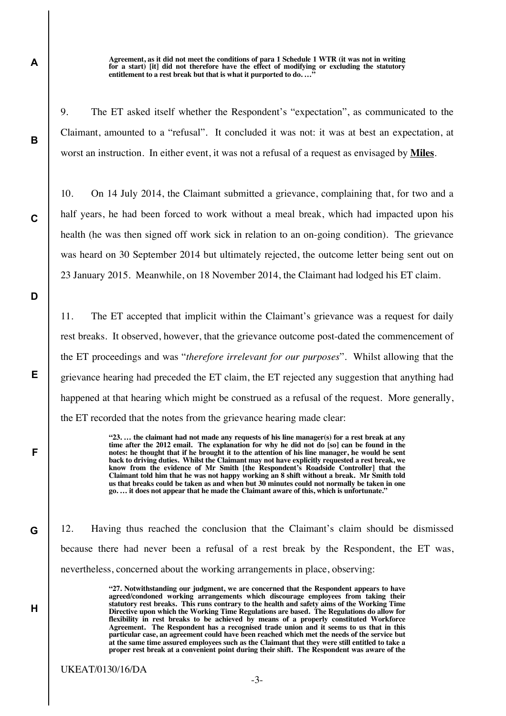**Agreement, as it did not meet the conditions of para 1 Schedule 1 WTR (it was not in writing for a start) [it] did not therefore have the effect of modifying or excluding the statutory entitlement to a rest break but that is what it purported to do. …"**

9. The ET asked itself whether the Respondent's "expectation", as communicated to the Claimant, amounted to a "refusal". It concluded it was not: it was at best an expectation, at worst an instruction. In either event, it was not a refusal of a request as envisaged by **Miles**.

10. On 14 July 2014, the Claimant submitted a grievance, complaining that, for two and a half years, he had been forced to work without a meal break, which had impacted upon his health (he was then signed off work sick in relation to an on-going condition). The grievance was heard on 30 September 2014 but ultimately rejected, the outcome letter being sent out on 23 January 2015. Meanwhile, on 18 November 2014, the Claimant had lodged his ET claim.

**D**

**E**

**F**

**G**

**H**

**A**

**B**

**C**

11. The ET accepted that implicit within the Claimant's grievance was a request for daily rest breaks. It observed, however, that the grievance outcome post-dated the commencement of the ET proceedings and was "*therefore irrelevant for our purposes*". Whilst allowing that the grievance hearing had preceded the ET claim, the ET rejected any suggestion that anything had happened at that hearing which might be construed as a refusal of the request. More generally, the ET recorded that the notes from the grievance hearing made clear:

> **"23. … the claimant had not made any requests of his line manager(s) for a rest break at any time after the 2012 email. The explanation for why he did not do [so] can be found in the notes: he thought that if he brought it to the attention of his line manager, he would be sent back to driving duties. Whilst the Claimant may not have explicitly requested a rest break, we know from the evidence of Mr Smith [the Respondent's Roadside Controller] that the Claimant told him that he was not happy working an 8 shift without a break. Mr Smith told us that breaks could be taken as and when but 30 minutes could not normally be taken in one go. … it does not appear that he made the Claimant aware of this, which is unfortunate."**

12. Having thus reached the conclusion that the Claimant's claim should be dismissed because there had never been a refusal of a rest break by the Respondent, the ET was, nevertheless, concerned about the working arrangements in place, observing:

> **"27. Notwithstanding our judgment, we are concerned that the Respondent appears to have agreed/condoned working arrangements which discourage employees from taking their statutory rest breaks. This runs contrary to the health and safety aims of the Working Time Directive upon which the Working Time Regulations are based. The Regulations do allow for flexibility in rest breaks to be achieved by means of a properly constituted Workforce Agreement. The Respondent has a recognised trade union and it seems to us that in this particular case, an agreement could have been reached which met the needs of the service but at the same time assured employees such as the Claimant that they were still entitled to take a proper rest break at a convenient point during their shift. The Respondent was aware of the**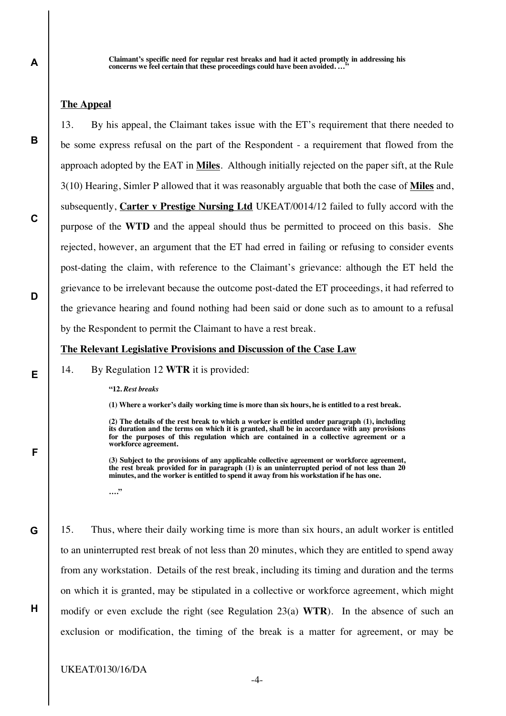**Claimant's specific need for regular rest breaks and had it acted promptly in addressing his**  concerns we feel certain that these proceedings could have been avoided....

## **The Appeal**

13. By his appeal, the Claimant takes issue with the ET's requirement that there needed to be some express refusal on the part of the Respondent - a requirement that flowed from the approach adopted by the EAT in **Miles**. Although initially rejected on the paper sift, at the Rule 3(10) Hearing, Simler P allowed that it was reasonably arguable that both the case of **Miles** and, subsequently, **Carter v Prestige Nursing Ltd** UKEAT/0014/12 failed to fully accord with the purpose of the **WTD** and the appeal should thus be permitted to proceed on this basis. She rejected, however, an argument that the ET had erred in failing or refusing to consider events post-dating the claim, with reference to the Claimant's grievance: although the ET held the grievance to be irrelevant because the outcome post-dated the ET proceedings, it had referred to the grievance hearing and found nothing had been said or done such as to amount to a refusal by the Respondent to permit the Claimant to have a rest break.

### **The Relevant Legislative Provisions and Discussion of the Case Law**

#### 14. By Regulation 12 **WTR** it is provided:

**"12.** *Rest breaks*

**(1) Where a worker's daily working time is more than six hours, he is entitled to a rest break.**

**(2) The details of the rest break to which a worker is entitled under paragraph (1), including its duration and the terms on which it is granted, shall be in accordance with any provisions for the purposes of this regulation which are contained in a collective agreement or a workforce agreement.**

**(3) Subject to the provisions of any applicable collective agreement or workforce agreement, the rest break provided for in paragraph (1) is an uninterrupted period of not less than 20 minutes, and the worker is entitled to spend it away from his workstation if he has one.**

**…."**

15. Thus, where their daily working time is more than six hours, an adult worker is entitled to an uninterrupted rest break of not less than 20 minutes, which they are entitled to spend away from any workstation. Details of the rest break, including its timing and duration and the terms on which it is granted, may be stipulated in a collective or workforce agreement, which might modify or even exclude the right (see Regulation 23(a) **WTR**). In the absence of such an exclusion or modification, the timing of the break is a matter for agreement, or may be

**B**

**C**

**D**

**E**

**F**

**G**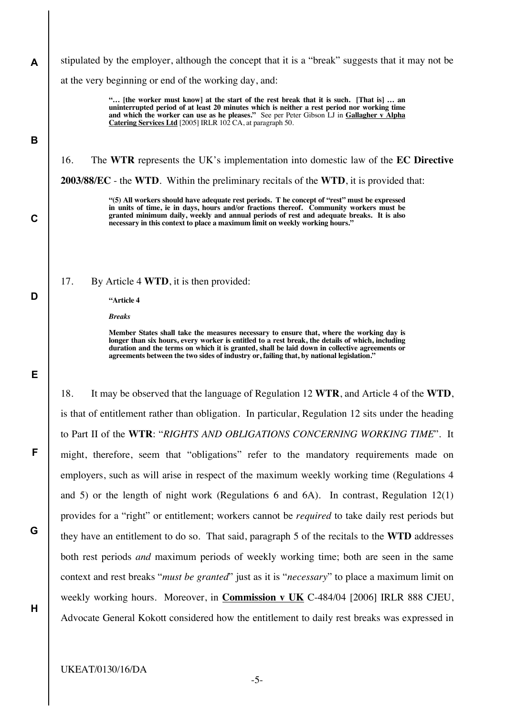**A B C D E F G** stipulated by the employer, although the concept that it is a "break" suggests that it may not be at the very beginning or end of the working day, and: **"… [the worker must know] at the start of the rest break that it is such. [That is] … an uninterrupted period of at least 20 minutes which is neither a rest period nor working time and which the worker can use as he pleases."** See per Peter Gibson LJ in **Gallagher v Alpha Catering Services Ltd** [2005] IRLR 102 CA, at paragraph 50. 16. The **WTR** represents the UK's implementation into domestic law of the **EC Directive 2003/88/EC** - the **WTD**. Within the preliminary recitals of the **WTD**, it is provided that: **"(5) All workers should have adequate rest periods. T he concept of "rest" must be expressed in units of time, ie in days, hours and/or fractions thereof. Community workers must be granted minimum daily, weekly and annual periods of rest and adequate breaks. It is also necessary in this context to place a maximum limit on weekly working hours."** 17. By Article 4 **WTD**, it is then provided: **"Article 4** *Breaks* **Member States shall take the measures necessary to ensure that, where the working day is longer than six hours, every worker is entitled to a rest break, the details of which, including duration and the terms on which it is granted, shall be laid down in collective agreements or agreements between the two sides of industry or, failing that, by national legislation."** 18. It may be observed that the language of Regulation 12 **WTR**, and Article 4 of the **WTD**, is that of entitlement rather than obligation. In particular, Regulation 12 sits under the heading to Part II of the **WTR**: "*RIGHTS AND OBLIGATIONS CONCERNING WORKING TIME*". It might, therefore, seem that "obligations" refer to the mandatory requirements made on employers, such as will arise in respect of the maximum weekly working time (Regulations 4 and 5) or the length of night work (Regulations 6 and 6A). In contrast, Regulation 12(1) provides for a "right" or entitlement; workers cannot be *required* to take daily rest periods but they have an entitlement to do so. That said, paragraph 5 of the recitals to the **WTD** addresses both rest periods *and* maximum periods of weekly working time; both are seen in the same

**H**

context and rest breaks "*must be granted*" just as it is "*necessary*" to place a maximum limit on

weekly working hours. Moreover, in **Commission v UK** C-484/04 [2006] IRLR 888 CJEU,

Advocate General Kokott considered how the entitlement to daily rest breaks was expressed in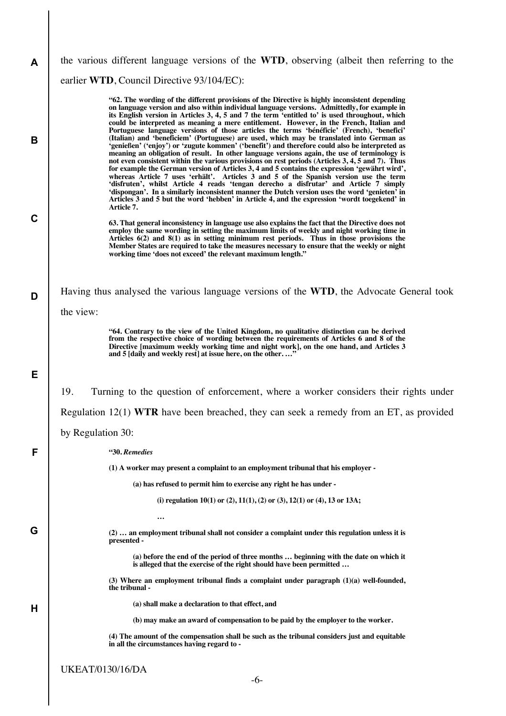| A           | the various different language versions of the WTD, observing (albeit then referring to the                                                                                                                                                                                                                                                                                                                                                                                                                                                                                                                                                                                                                                                                                                                                                                                                                                                                                                                                                                                                                                                                                                                                                                                                                                                                                                  |
|-------------|----------------------------------------------------------------------------------------------------------------------------------------------------------------------------------------------------------------------------------------------------------------------------------------------------------------------------------------------------------------------------------------------------------------------------------------------------------------------------------------------------------------------------------------------------------------------------------------------------------------------------------------------------------------------------------------------------------------------------------------------------------------------------------------------------------------------------------------------------------------------------------------------------------------------------------------------------------------------------------------------------------------------------------------------------------------------------------------------------------------------------------------------------------------------------------------------------------------------------------------------------------------------------------------------------------------------------------------------------------------------------------------------|
|             | earlier WTD, Council Directive 93/104/EC):                                                                                                                                                                                                                                                                                                                                                                                                                                                                                                                                                                                                                                                                                                                                                                                                                                                                                                                                                                                                                                                                                                                                                                                                                                                                                                                                                   |
| B           | "62. The wording of the different provisions of the Directive is highly inconsistent depending<br>on language version and also within individual language versions. Admittedly, for example in<br>its English version in Articles 3, 4, 5 and 7 the term 'entitled to' is used throughout, which<br>could be interpreted as meaning a mere entitlement. However, in the French, Italian and<br>Portuguese language versions of those articles the terms 'bénéficie' (French), 'benefici'<br>(Italian) and 'beneficiem' (Portuguese) are used, which may be translated into German as<br>'genießen' ('enjoy') or 'zugute kommen' ('benefit') and therefore could also be interpreted as<br>meaning an obligation of result. In other language versions again, the use of terminology is<br>not even consistent within the various provisions on rest periods (Articles 3, 4, 5 and 7). Thus<br>for example the German version of Articles 3, 4 and 5 contains the expression 'gewährt wird',<br>whereas Article 7 uses 'erhält'. Articles 3 and 5 of the Spanish version use the term<br>'disfruten', whilst Article 4 reads 'tengan derecho a disfrutar' and Article 7 simply<br>'dispongan'. In a similarly inconsistent manner the Dutch version uses the word 'genieten' in<br>Articles 3 and 5 but the word 'hebben' in Article 4, and the expression 'wordt toegekend' in<br>Article 7. |
| $\mathbf C$ | 63. That general inconsistency in language use also explains the fact that the Directive does not<br>employ the same wording in setting the maximum limits of weekly and night working time in<br>Articles $6(2)$ and $8(1)$ as in setting minimum rest periods. Thus in those provisions the<br>Member States are required to take the measures necessary to ensure that the weekly or night<br>working time 'does not exceed' the relevant maximum length."                                                                                                                                                                                                                                                                                                                                                                                                                                                                                                                                                                                                                                                                                                                                                                                                                                                                                                                                |
| D           | Having thus analysed the various language versions of the WTD, the Advocate General took<br>the view:                                                                                                                                                                                                                                                                                                                                                                                                                                                                                                                                                                                                                                                                                                                                                                                                                                                                                                                                                                                                                                                                                                                                                                                                                                                                                        |
|             | "64. Contrary to the view of the United Kingdom, no qualitative distinction can be derived<br>from the respective choice of wording between the requirements of Articles 6 and 8 of the<br>Directive [maximum weekly working time and night work], on the one hand, and Articles 3<br>and 5 [daily and weekly rest] at issue here, on the other"                                                                                                                                                                                                                                                                                                                                                                                                                                                                                                                                                                                                                                                                                                                                                                                                                                                                                                                                                                                                                                             |
| Е           |                                                                                                                                                                                                                                                                                                                                                                                                                                                                                                                                                                                                                                                                                                                                                                                                                                                                                                                                                                                                                                                                                                                                                                                                                                                                                                                                                                                              |
|             | 19.<br>Turning to the question of enforcement, where a worker considers their rights under                                                                                                                                                                                                                                                                                                                                                                                                                                                                                                                                                                                                                                                                                                                                                                                                                                                                                                                                                                                                                                                                                                                                                                                                                                                                                                   |
|             | Regulation $12(1)$ WTR have been breached, they can seek a remedy from an ET, as provided                                                                                                                                                                                                                                                                                                                                                                                                                                                                                                                                                                                                                                                                                                                                                                                                                                                                                                                                                                                                                                                                                                                                                                                                                                                                                                    |
|             | by Regulation 30:                                                                                                                                                                                                                                                                                                                                                                                                                                                                                                                                                                                                                                                                                                                                                                                                                                                                                                                                                                                                                                                                                                                                                                                                                                                                                                                                                                            |
| F           | "30. Remedies                                                                                                                                                                                                                                                                                                                                                                                                                                                                                                                                                                                                                                                                                                                                                                                                                                                                                                                                                                                                                                                                                                                                                                                                                                                                                                                                                                                |
|             | (1) A worker may present a complaint to an employment tribunal that his employer -                                                                                                                                                                                                                                                                                                                                                                                                                                                                                                                                                                                                                                                                                                                                                                                                                                                                                                                                                                                                                                                                                                                                                                                                                                                                                                           |
|             | (a) has refused to permit him to exercise any right he has under -                                                                                                                                                                                                                                                                                                                                                                                                                                                                                                                                                                                                                                                                                                                                                                                                                                                                                                                                                                                                                                                                                                                                                                                                                                                                                                                           |
|             | (i) regulation 10(1) or (2), 11(1), (2) or (3), 12(1) or (4), 13 or 13A;                                                                                                                                                                                                                                                                                                                                                                                                                                                                                                                                                                                                                                                                                                                                                                                                                                                                                                                                                                                                                                                                                                                                                                                                                                                                                                                     |
| G           | $\cdots$<br>$(2)$ an employment tribunal shall not consider a complaint under this regulation unless it is<br>presented -                                                                                                                                                                                                                                                                                                                                                                                                                                                                                                                                                                                                                                                                                                                                                                                                                                                                                                                                                                                                                                                                                                                                                                                                                                                                    |
|             | (a) before the end of the period of three months  beginning with the date on which it<br>is alleged that the exercise of the right should have been permitted                                                                                                                                                                                                                                                                                                                                                                                                                                                                                                                                                                                                                                                                                                                                                                                                                                                                                                                                                                                                                                                                                                                                                                                                                                |
|             | $(3)$ Where an employment tribunal finds a complaint under paragraph $(1)(a)$ well-founded,<br>the tribunal -                                                                                                                                                                                                                                                                                                                                                                                                                                                                                                                                                                                                                                                                                                                                                                                                                                                                                                                                                                                                                                                                                                                                                                                                                                                                                |
| н           | (a) shall make a declaration to that effect, and                                                                                                                                                                                                                                                                                                                                                                                                                                                                                                                                                                                                                                                                                                                                                                                                                                                                                                                                                                                                                                                                                                                                                                                                                                                                                                                                             |
|             | (b) may make an award of compensation to be paid by the employer to the worker.                                                                                                                                                                                                                                                                                                                                                                                                                                                                                                                                                                                                                                                                                                                                                                                                                                                                                                                                                                                                                                                                                                                                                                                                                                                                                                              |
|             | (4) The amount of the compensation shall be such as the tribunal considers just and equitable<br>in all the circumstances having regard to -                                                                                                                                                                                                                                                                                                                                                                                                                                                                                                                                                                                                                                                                                                                                                                                                                                                                                                                                                                                                                                                                                                                                                                                                                                                 |
|             | <b>UKEAT/0130/16/DA</b>                                                                                                                                                                                                                                                                                                                                                                                                                                                                                                                                                                                                                                                                                                                                                                                                                                                                                                                                                                                                                                                                                                                                                                                                                                                                                                                                                                      |
|             | $-6-$                                                                                                                                                                                                                                                                                                                                                                                                                                                                                                                                                                                                                                                                                                                                                                                                                                                                                                                                                                                                                                                                                                                                                                                                                                                                                                                                                                                        |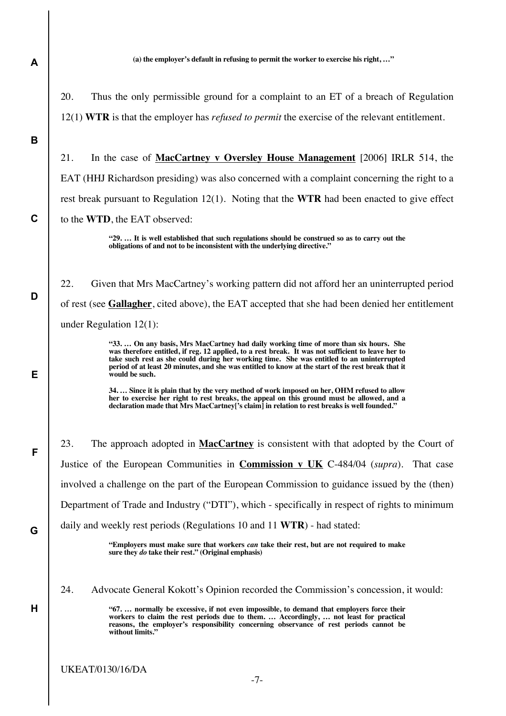**(a) the employer's default in refusing to permit the worker to exercise his right, …"**

20. Thus the only permissible ground for a complaint to an ET of a breach of Regulation 12(1) **WTR** is that the employer has *refused to permit* the exercise of the relevant entitlement.

**B**

**C**

**D**

**E**

**F**

**G**

**H**

**A**

21. In the case of **MacCartney v Oversley House Management** [2006] IRLR 514, the EAT (HHJ Richardson presiding) was also concerned with a complaint concerning the right to a rest break pursuant to Regulation 12(1). Noting that the **WTR** had been enacted to give effect to the **WTD**, the EAT observed:

> **"29. … It is well established that such regulations should be construed so as to carry out the obligations of and not to be inconsistent with the underlying directive."**

22. Given that Mrs MacCartney's working pattern did not afford her an uninterrupted period of rest (see **Gallagher**, cited above), the EAT accepted that she had been denied her entitlement under Regulation 12(1):

> **"33. … On any basis, Mrs MacCartney had daily working time of more than six hours. She was therefore entitled, if reg. 12 applied, to a rest break. It was not sufficient to leave her to take such rest as she could during her working time. She was entitled to an uninterrupted period of at least 20 minutes, and she was entitled to know at the start of the rest break that it would be such.**

> **34. … Since it is plain that by the very method of work imposed on her, OHM refused to allow her to exercise her right to rest breaks, the appeal on this ground must be allowed, and a declaration made that Mrs MacCartney['s claim] in relation to rest breaks is well founded."**

23. The approach adopted in **MacCartney** is consistent with that adopted by the Court of Justice of the European Communities in **Commission v UK** C-484/04 (*supra*). That case involved a challenge on the part of the European Commission to guidance issued by the (then) Department of Trade and Industry ("DTI"), which - specifically in respect of rights to minimum daily and weekly rest periods (Regulations 10 and 11 **WTR**) - had stated:

**"Employers must make sure that workers** *can* **take their rest, but are not required to make sure they** *do* **take their rest." (Original emphasis)**

24. Advocate General Kokott's Opinion recorded the Commission's concession, it would:

**"67. … normally be excessive, if not even impossible, to demand that employers force their workers to claim the rest periods due to them. … Accordingly, … not least for practical reasons, the employer's responsibility concerning observance of rest periods cannot be without limits."**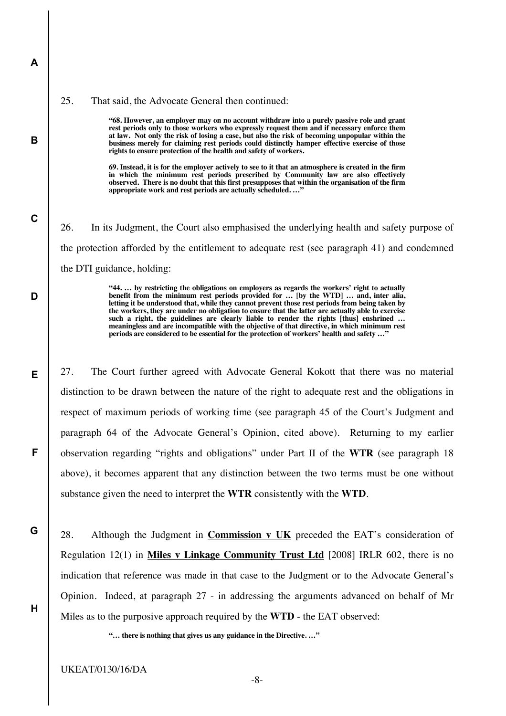#### 25. That said, the Advocate General then continued:

**A**

**B**

**C**

**D**

**E**

**F**

**G**

**H**

**"68. However, an employer may on no account withdraw into a purely passive role and grant rest periods only to those workers who expressly request them and if necessary enforce them at law. Not only the risk of losing a case, but also the risk of becoming unpopular within the business merely for claiming rest periods could distinctly hamper effective exercise of those rights to ensure protection of the health and safety of workers.**

**69. Instead, it is for the employer actively to see to it that an atmosphere is created in the firm in which the minimum rest periods prescribed by Community law are also effectively observed. There is no doubt that this first presupposes that within the organisation of the firm**  appropriate work and rest periods are actually scheduled. ...'

26. In its Judgment, the Court also emphasised the underlying health and safety purpose of the protection afforded by the entitlement to adequate rest (see paragraph 41) and condemned the DTI guidance, holding:

> **"44. … by restricting the obligations on employers as regards the workers' right to actually benefit from the minimum rest periods provided for … [by the WTD] … and, inter alia, letting it be understood that, while they cannot prevent those rest periods from being taken by the workers, they are under no obligation to ensure that the latter are actually able to exercise**  such a right, the guidelines are clearly liable to render the rights [thus] enshrined ... **meaningless and are incompatible with the objective of that directive, in which minimum rest periods are considered to be essential for the protection of workers' health and safety …"**

27. The Court further agreed with Advocate General Kokott that there was no material distinction to be drawn between the nature of the right to adequate rest and the obligations in respect of maximum periods of working time (see paragraph 45 of the Court's Judgment and paragraph 64 of the Advocate General's Opinion, cited above). Returning to my earlier observation regarding "rights and obligations" under Part II of the **WTR** (see paragraph 18 above), it becomes apparent that any distinction between the two terms must be one without substance given the need to interpret the **WTR** consistently with the **WTD**.

28. Although the Judgment in **Commission v UK** preceded the EAT's consideration of Regulation 12(1) in **Miles v Linkage Community Trust Ltd** [2008] IRLR 602, there is no indication that reference was made in that case to the Judgment or to the Advocate General's Opinion. Indeed, at paragraph 27 - in addressing the arguments advanced on behalf of Mr Miles as to the purposive approach required by the **WTD** - the EAT observed:

**"… there is nothing that gives us any guidance in the Directive. …"**

UKEAT/0130/16/DA

-8-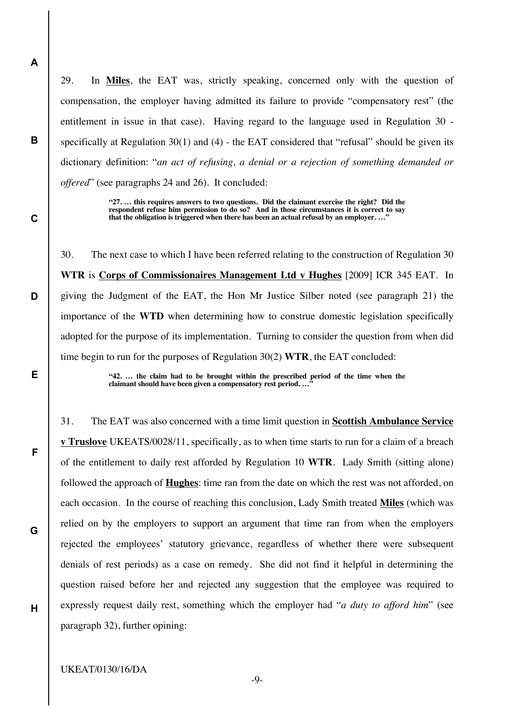29. In **Miles**, the EAT was, strictly speaking, concerned only with the question of compensation, the employer having admitted its failure to provide "compensatory rest" (the entitlement in issue in that case). Having regard to the language used in Regulation 30 specifically at Regulation 30(1) and (4) - the EAT considered that "refusal" should be given its dictionary definition: "*an act of refusing, a denial or a rejection of something demanded or offered*" (see paragraphs 24 and 26). It concluded:

> **"27. … this requires answers to two questions. Did the claimant exercise the right? Did the**  respondent refuse him permission to do so? And in those circumstances it is correct to say **that the obligation is triggered when there has been an actual refusal by an employer. …"**

30. The next case to which I have been referred relating to the construction of Regulation 30 **WTR** is **Corps of Commissionaires Management Ltd v Hughes** [2009] ICR 345 EAT. In giving the Judgment of the EAT, the Hon Mr Justice Silber noted (see paragraph 21) the importance of the **WTD** when determining how to construe domestic legislation specifically adopted for the purpose of its implementation. Turning to consider the question from when did time begin to run for the purposes of Regulation 30(2) **WTR**, the EAT concluded:

> **"42. … the claim had to be brought within the prescribed period of the time when the**  claimant should have been given a compensatory rest period....

31. The EAT was also concerned with a time limit question in **Scottish Ambulance Service v Truslove** UKEATS/0028/11, specifically, as to when time starts to run for a claim of a breach of the entitlement to daily rest afforded by Regulation 10 **WTR**. Lady Smith (sitting alone) followed the approach of **Hughes**: time ran from the date on which the rest was not afforded, on each occasion. In the course of reaching this conclusion, Lady Smith treated **Miles** (which was relied on by the employers to support an argument that time ran from when the employers rejected the employees' statutory grievance, regardless of whether there were subsequent denials of rest periods) as a case on remedy. She did not find it helpful in determining the question raised before her and rejected any suggestion that the employee was required to expressly request daily rest, something which the employer had "*a duty to afford him*" (see paragraph 32), further opining:

**A**

**B**

**C**

**D**

**E**

**F**

**G**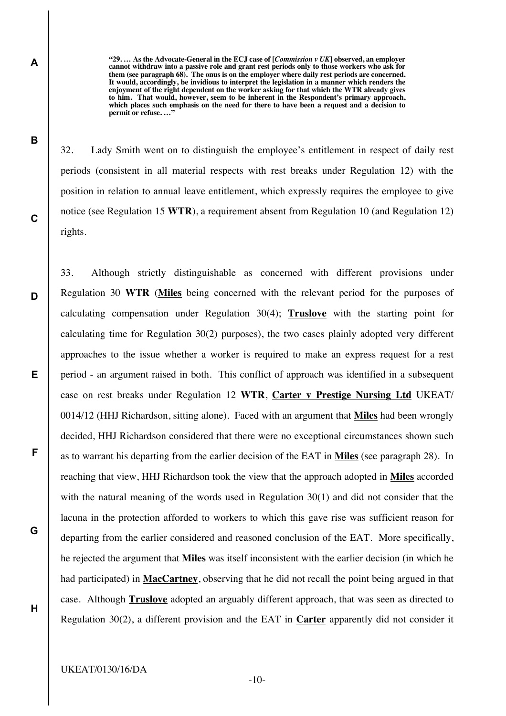**"29. … As the Advocate-General in the ECJ case of [***Commission v UK***] observed, an employer cannot withdraw into a passive role and grant rest periods only to those workers who ask for them (see paragraph 68). The onus is on the employer where daily rest periods are concerned. It would, accordingly, be invidious to interpret the legislation in a manner which renders the enjoyment of the right dependent on the worker asking for that which the WTR already gives to him. That would, however, seem to be inherent in the Respondent's primary approach, which places such emphasis on the need for there to have been a request and a decision to permit or refuse. …"**

32. Lady Smith went on to distinguish the employee's entitlement in respect of daily rest periods (consistent in all material respects with rest breaks under Regulation 12) with the position in relation to annual leave entitlement, which expressly requires the employee to give notice (see Regulation 15 **WTR**), a requirement absent from Regulation 10 (and Regulation 12) rights.

33. Although strictly distinguishable as concerned with different provisions under Regulation 30 **WTR** (**Miles** being concerned with the relevant period for the purposes of calculating compensation under Regulation 30(4); **Truslove** with the starting point for calculating time for Regulation 30(2) purposes), the two cases plainly adopted very different approaches to the issue whether a worker is required to make an express request for a rest period - an argument raised in both. This conflict of approach was identified in a subsequent case on rest breaks under Regulation 12 **WTR**, **Carter v Prestige Nursing Ltd** UKEAT/ 0014/12 (HHJ Richardson, sitting alone). Faced with an argument that **Miles** had been wrongly decided, HHJ Richardson considered that there were no exceptional circumstances shown such as to warrant his departing from the earlier decision of the EAT in **Miles** (see paragraph 28). In reaching that view, HHJ Richardson took the view that the approach adopted in **Miles** accorded with the natural meaning of the words used in Regulation 30(1) and did not consider that the lacuna in the protection afforded to workers to which this gave rise was sufficient reason for departing from the earlier considered and reasoned conclusion of the EAT. More specifically, he rejected the argument that **Miles** was itself inconsistent with the earlier decision (in which he had participated) in **MacCartney**, observing that he did not recall the point being argued in that case. Although **Truslove** adopted an arguably different approach, that was seen as directed to Regulation 30(2), a different provision and the EAT in **Carter** apparently did not consider it

**C**

**D**

**E**

**F**

**G**

**H**

**A**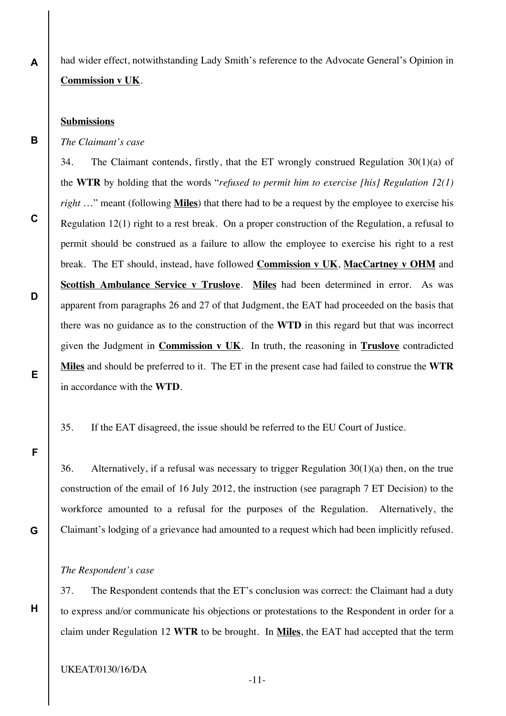had wider effect, notwithstanding Lady Smith's reference to the Advocate General's Opinion in **Commission v UK**.

### **Submissions**

**A**

**B**

**C**

**D**

**E**

**F**

**G**

**H**

*The Claimant's case*

34. The Claimant contends, firstly, that the ET wrongly construed Regulation 30(1)(a) of the **WTR** by holding that the words "*refused to permit him to exercise [his] Regulation 12(1) right* …" meant (following **Miles**) that there had to be a request by the employee to exercise his Regulation 12(1) right to a rest break. On a proper construction of the Regulation, a refusal to permit should be construed as a failure to allow the employee to exercise his right to a rest break. The ET should, instead, have followed **Commission v UK**, **MacCartney v OHM** and **Scottish Ambulance Service v Truslove**. **Miles** had been determined in error. As was apparent from paragraphs 26 and 27 of that Judgment, the EAT had proceeded on the basis that there was no guidance as to the construction of the **WTD** in this regard but that was incorrect given the Judgment in **Commission v UK**. In truth, the reasoning in **Truslove** contradicted **Miles** and should be preferred to it. The ET in the present case had failed to construe the **WTR** in accordance with the **WTD**.

35. If the EAT disagreed, the issue should be referred to the EU Court of Justice.

36. Alternatively, if a refusal was necessary to trigger Regulation 30(1)(a) then, on the true construction of the email of 16 July 2012, the instruction (see paragraph 7 ET Decision) to the workforce amounted to a refusal for the purposes of the Regulation. Alternatively, the Claimant's lodging of a grievance had amounted to a request which had been implicitly refused.

#### *The Respondent's case*

37. The Respondent contends that the ET's conclusion was correct: the Claimant had a duty to express and/or communicate his objections or protestations to the Respondent in order for a claim under Regulation 12 **WTR** to be brought. In **Miles**, the EAT had accepted that the term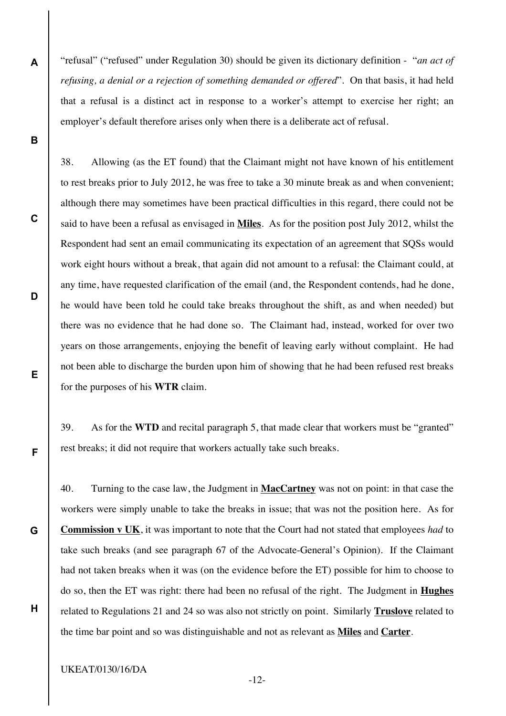"refusal" ("refused" under Regulation 30) should be given its dictionary definition - "*an act of refusing, a denial or a rejection of something demanded or offered*". On that basis, it had held that a refusal is a distinct act in response to a worker's attempt to exercise her right; an employer's default therefore arises only when there is a deliberate act of refusal.

38. Allowing (as the ET found) that the Claimant might not have known of his entitlement to rest breaks prior to July 2012, he was free to take a 30 minute break as and when convenient; although there may sometimes have been practical difficulties in this regard, there could not be said to have been a refusal as envisaged in **Miles**. As for the position post July 2012, whilst the Respondent had sent an email communicating its expectation of an agreement that SQSs would work eight hours without a break, that again did not amount to a refusal: the Claimant could, at any time, have requested clarification of the email (and, the Respondent contends, had he done, he would have been told he could take breaks throughout the shift, as and when needed) but there was no evidence that he had done so. The Claimant had, instead, worked for over two years on those arrangements, enjoying the benefit of leaving early without complaint. He had not been able to discharge the burden upon him of showing that he had been refused rest breaks for the purposes of his **WTR** claim.

39. As for the **WTD** and recital paragraph 5, that made clear that workers must be "granted" rest breaks; it did not require that workers actually take such breaks.

40. Turning to the case law, the Judgment in **MacCartney** was not on point: in that case the workers were simply unable to take the breaks in issue; that was not the position here. As for **Commission v UK**, it was important to note that the Court had not stated that employees *had* to take such breaks (and see paragraph 67 of the Advocate-General's Opinion). If the Claimant had not taken breaks when it was (on the evidence before the ET) possible for him to choose to do so, then the ET was right: there had been no refusal of the right. The Judgment in **Hughes** related to Regulations 21 and 24 so was also not strictly on point. Similarly **Truslove** related to the time bar point and so was distinguishable and not as relevant as **Miles** and **Carter**.

UKEAT/0130/16/DA

**A**

**B**

**C**

**D**

**E**

**F**

**G**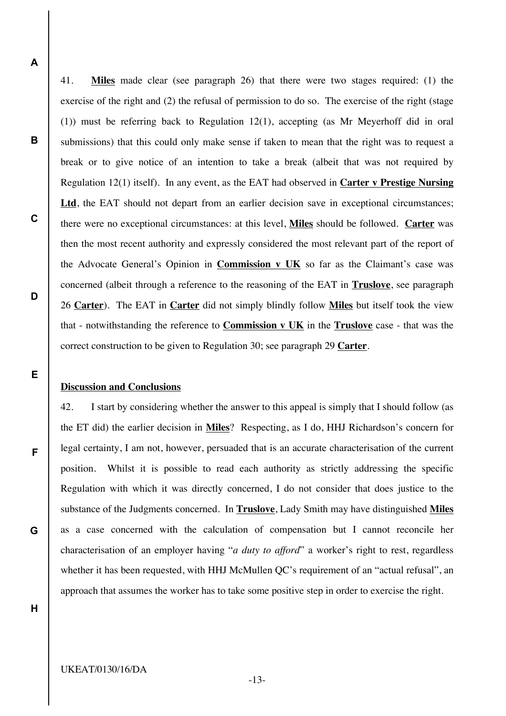**A**

**B**

**C**

**D**

**E**

**F**

**G**

41. **Miles** made clear (see paragraph 26) that there were two stages required: (1) the exercise of the right and (2) the refusal of permission to do so. The exercise of the right (stage (1)) must be referring back to Regulation 12(1), accepting (as Mr Meyerhoff did in oral submissions) that this could only make sense if taken to mean that the right was to request a break or to give notice of an intention to take a break (albeit that was not required by Regulation 12(1) itself). In any event, as the EAT had observed in **Carter v Prestige Nursing**  Ltd, the EAT should not depart from an earlier decision save in exceptional circumstances; there were no exceptional circumstances: at this level, **Miles** should be followed. **Carter** was then the most recent authority and expressly considered the most relevant part of the report of the Advocate General's Opinion in **Commission v UK** so far as the Claimant's case was concerned (albeit through a reference to the reasoning of the EAT in **Truslove**, see paragraph 26 **Carter**). The EAT in **Carter** did not simply blindly follow **Miles** but itself took the view that - notwithstanding the reference to **Commission v UK** in the **Truslove** case - that was the correct construction to be given to Regulation 30; see paragraph 29 **Carter**.

### **Discussion and Conclusions**

42. I start by considering whether the answer to this appeal is simply that I should follow (as the ET did) the earlier decision in **Miles**? Respecting, as I do, HHJ Richardson's concern for legal certainty, I am not, however, persuaded that is an accurate characterisation of the current position. Whilst it is possible to read each authority as strictly addressing the specific Regulation with which it was directly concerned, I do not consider that does justice to the substance of the Judgments concerned. In **Truslove**, Lady Smith may have distinguished **Miles** as a case concerned with the calculation of compensation but I cannot reconcile her characterisation of an employer having "*a duty to afford*" a worker's right to rest, regardless whether it has been requested, with HHJ McMullen QC's requirement of an "actual refusal", an approach that assumes the worker has to take some positive step in order to exercise the right.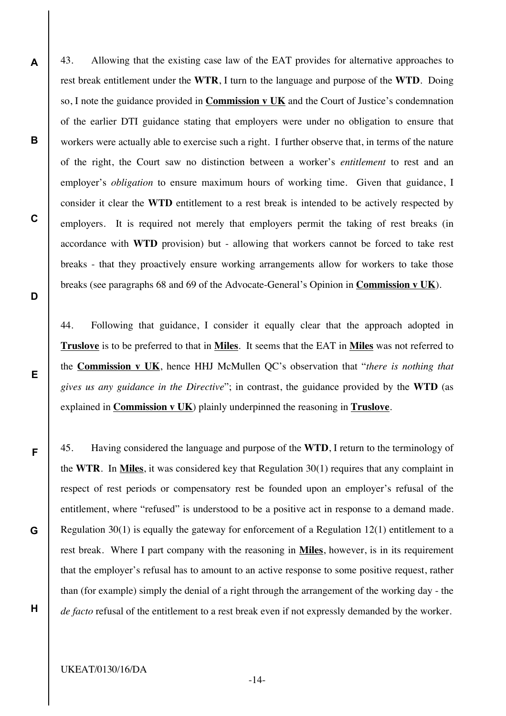43. Allowing that the existing case law of the EAT provides for alternative approaches to rest break entitlement under the **WTR**, I turn to the language and purpose of the **WTD**. Doing so, I note the guidance provided in **Commission v UK** and the Court of Justice's condemnation of the earlier DTI guidance stating that employers were under no obligation to ensure that workers were actually able to exercise such a right. I further observe that, in terms of the nature of the right, the Court saw no distinction between a worker's *entitlement* to rest and an employer's *obligation* to ensure maximum hours of working time. Given that guidance, I consider it clear the **WTD** entitlement to a rest break is intended to be actively respected by employers. It is required not merely that employers permit the taking of rest breaks (in accordance with **WTD** provision) but - allowing that workers cannot be forced to take rest breaks - that they proactively ensure working arrangements allow for workers to take those breaks (see paragraphs 68 and 69 of the Advocate-General's Opinion in **Commission v UK**).

44. Following that guidance, I consider it equally clear that the approach adopted in **Truslove** is to be preferred to that in **Miles**. It seems that the EAT in **Miles** was not referred to the **Commission v UK**, hence HHJ McMullen QC's observation that "*there is nothing that gives us any guidance in the Directive*"; in contrast, the guidance provided by the **WTD** (as explained in **Commission v UK**) plainly underpinned the reasoning in **Truslove**.

45. Having considered the language and purpose of the **WTD**, I return to the terminology of the **WTR**. In **Miles**, it was considered key that Regulation 30(1) requires that any complaint in respect of rest periods or compensatory rest be founded upon an employer's refusal of the entitlement, where "refused" is understood to be a positive act in response to a demand made. Regulation 30(1) is equally the gateway for enforcement of a Regulation 12(1) entitlement to a rest break. Where I part company with the reasoning in **Miles**, however, is in its requirement that the employer's refusal has to amount to an active response to some positive request, rather than (for example) simply the denial of a right through the arrangement of the working day - the *de facto* refusal of the entitlement to a rest break even if not expressly demanded by the worker.

**B**

**C**

**D**

**E**

**F**

**G**

**H**

UKEAT/0130/16/DA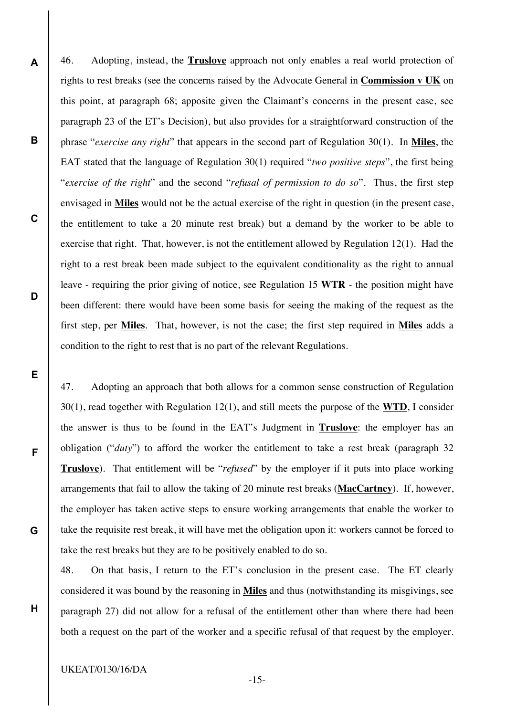46. Adopting, instead, the **Truslove** approach not only enables a real world protection of rights to rest breaks (see the concerns raised by the Advocate General in **Commission v UK** on this point, at paragraph 68; apposite given the Claimant's concerns in the present case, see paragraph 23 of the ET's Decision), but also provides for a straightforward construction of the phrase "*exercise any right*" that appears in the second part of Regulation 30(1). In **Miles**, the EAT stated that the language of Regulation 30(1) required "*two positive steps*", the first being "*exercise of the right*" and the second "*refusal of permission to do so*". Thus, the first step envisaged in **Miles** would not be the actual exercise of the right in question (in the present case, the entitlement to take a 20 minute rest break) but a demand by the worker to be able to exercise that right. That, however, is not the entitlement allowed by Regulation 12(1). Had the right to a rest break been made subject to the equivalent conditionality as the right to annual leave - requiring the prior giving of notice, see Regulation 15 **WTR** - the position might have been different: there would have been some basis for seeing the making of the request as the first step, per **Miles**. That, however, is not the case; the first step required in **Miles** adds a condition to the right to rest that is no part of the relevant Regulations.

47. Adopting an approach that both allows for a common sense construction of Regulation 30(1), read together with Regulation 12(1), and still meets the purpose of the **WTD**, I consider the answer is thus to be found in the EAT's Judgment in **Truslove**: the employer has an obligation ("*duty*") to afford the worker the entitlement to take a rest break (paragraph 32 **Truslove**). That entitlement will be "*refused*" by the employer if it puts into place working arrangements that fail to allow the taking of 20 minute rest breaks (**MacCartney**). If, however, the employer has taken active steps to ensure working arrangements that enable the worker to take the requisite rest break, it will have met the obligation upon it: workers cannot be forced to take the rest breaks but they are to be positively enabled to do so.

48. On that basis, I return to the ET's conclusion in the present case. The ET clearly considered it was bound by the reasoning in **Miles** and thus (notwithstanding its misgivings, see paragraph 27) did not allow for a refusal of the entitlement other than where there had been both a request on the part of the worker and a specific refusal of that request by the employer.

UKEAT/0130/16/DA

**A**

**B**

**C**

**D**

**E**

**F**

**G**

**H**

-15-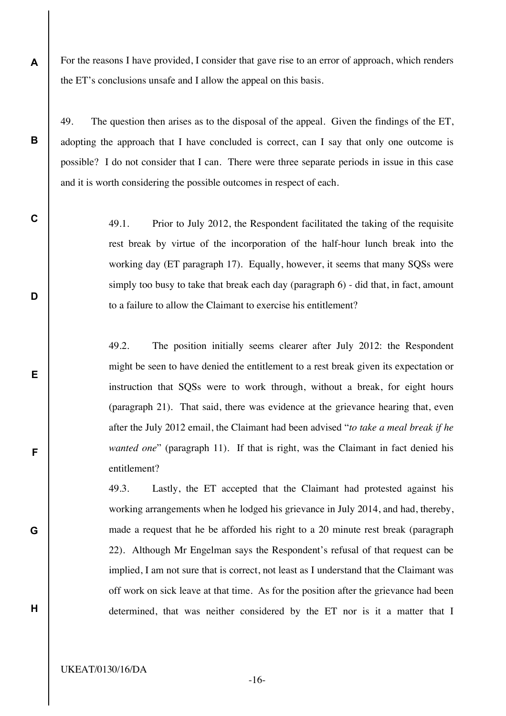For the reasons I have provided, I consider that gave rise to an error of approach, which renders the ET's conclusions unsafe and I allow the appeal on this basis.

49. The question then arises as to the disposal of the appeal. Given the findings of the ET, adopting the approach that I have concluded is correct, can I say that only one outcome is possible? I do not consider that I can. There were three separate periods in issue in this case and it is worth considering the possible outcomes in respect of each.

> 49.1. Prior to July 2012, the Respondent facilitated the taking of the requisite rest break by virtue of the incorporation of the half-hour lunch break into the working day (ET paragraph 17). Equally, however, it seems that many SQSs were simply too busy to take that break each day (paragraph 6) - did that, in fact, amount to a failure to allow the Claimant to exercise his entitlement?

> 49.2. The position initially seems clearer after July 2012: the Respondent might be seen to have denied the entitlement to a rest break given its expectation or instruction that SQSs were to work through, without a break, for eight hours (paragraph 21). That said, there was evidence at the grievance hearing that, even after the July 2012 email, the Claimant had been advised "*to take a meal break if he wanted one*" (paragraph 11). If that is right, was the Claimant in fact denied his entitlement?

> 49.3. Lastly, the ET accepted that the Claimant had protested against his working arrangements when he lodged his grievance in July 2014, and had, thereby, made a request that he be afforded his right to a 20 minute rest break (paragraph 22). Although Mr Engelman says the Respondent's refusal of that request can be implied, I am not sure that is correct, not least as I understand that the Claimant was off work on sick leave at that time. As for the position after the grievance had been determined, that was neither considered by the ET nor is it a matter that I

**A**

**B**

**C**

**D**

**E**

**F**

**G**